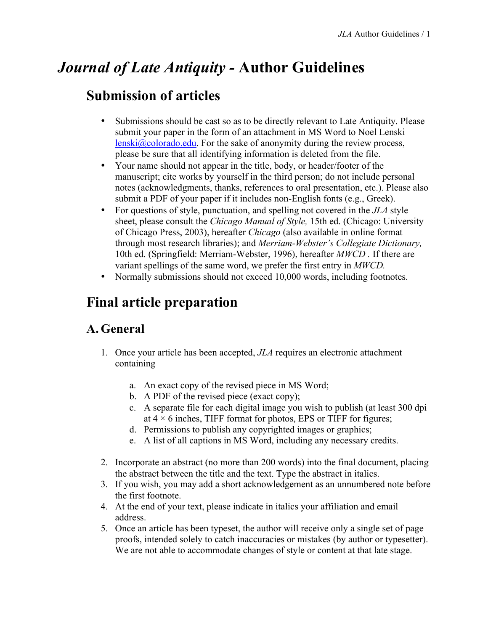# *Journal of Late Antiquity -* **Author Guidelines**

# **Submission of articles**

- Submissions should be cast so as to be directly relevant to Late Antiquity. Please submit your paper in the form of an attachment in MS Word to Noel Lenski lenski@colorado.edu. For the sake of anonymity during the review process, please be sure that all identifying information is deleted from the file.
- Your name should not appear in the title, body, or header/footer of the manuscript; cite works by yourself in the third person; do not include personal notes (acknowledgments, thanks, references to oral presentation, etc.). Please also submit a PDF of your paper if it includes non-English fonts (e.g., Greek).
- For questions of style, punctuation, and spelling not covered in the *JLA* style sheet, please consult the *Chicago Manual of Style,* 15th ed. (Chicago: University of Chicago Press, 2003), hereafter *Chicago* (also available in online format through most research libraries); and *Merriam-Webster's Collegiate Dictionary,* 10th ed. (Springfield: Merriam-Webster, 1996), hereafter *MWCD .* If there are variant spellings of the same word, we prefer the first entry in *MWCD.*
- Normally submissions should not exceed 10,000 words, including footnotes.

# **Final article preparation**

## **A. General**

- 1. Once your article has been accepted, *JLA* requires an electronic attachment containing
	- a. An exact copy of the revised piece in MS Word;
	- b. A PDF of the revised piece (exact copy);
	- c. A separate file for each digital image you wish to publish (at least 300 dpi at  $4 \times 6$  inches, TIFF format for photos, EPS or TIFF for figures;
	- d. Permissions to publish any copyrighted images or graphics;
	- e. A list of all captions in MS Word, including any necessary credits.
- 2. Incorporate an abstract (no more than 200 words) into the final document, placing the abstract between the title and the text. Type the abstract in italics.
- 3. If you wish, you may add a short acknowledgement as an unnumbered note before the first footnote.
- 4. At the end of your text, please indicate in italics your affiliation and email address.
- 5. Once an article has been typeset, the author will receive only a single set of page proofs, intended solely to catch inaccuracies or mistakes (by author or typesetter). We are not able to accommodate changes of style or content at that late stage.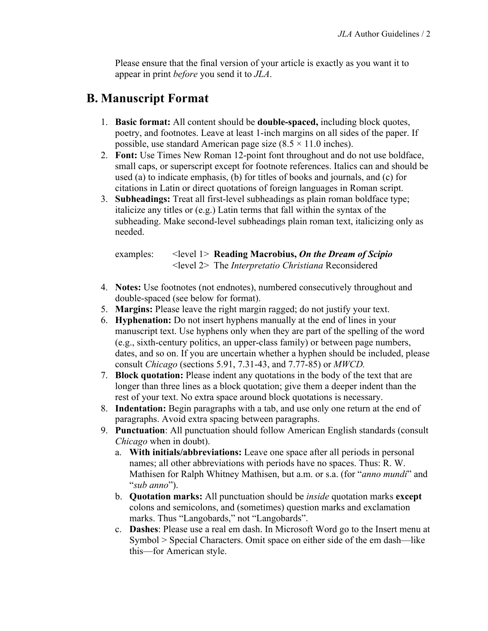Please ensure that the final version of your article is exactly as you want it to appear in print *before* you send it to *JLA*.

## **B. Manuscript Format**

- 1. **Basic format:** All content should be **double-spaced,** including block quotes, poetry, and footnotes. Leave at least 1-inch margins on all sides of the paper. If possible, use standard American page size  $(8.5 \times 11.0 \text{ inches})$ .
- 2. **Font:** Use Times New Roman 12-point font throughout and do not use boldface, small caps, or superscript except for footnote references. Italics can and should be used (a) to indicate emphasis, (b) for titles of books and journals, and (c) for citations in Latin or direct quotations of foreign languages in Roman script.
- 3. **Subheadings:** Treat all first-level subheadings as plain roman boldface type; italicize any titles or (e.g.) Latin terms that fall within the syntax of the subheading. Make second-level subheadings plain roman text, italicizing only as needed.

| examples: | $\le$ level 1> Reading Macrobius, On the Dream of Scipio        |
|-----------|-----------------------------------------------------------------|
|           | $\le$ level 2> The <i>Interpretatio Christiana</i> Reconsidered |

- 4. **Notes:** Use footnotes (not endnotes), numbered consecutively throughout and double-spaced (see below for format).
- 5. **Margins:** Please leave the right margin ragged; do not justify your text.
- 6. **Hyphenation:** Do not insert hyphens manually at the end of lines in your manuscript text. Use hyphens only when they are part of the spelling of the word (e.g., sixth-century politics, an upper-class family) or between page numbers, dates, and so on. If you are uncertain whether a hyphen should be included, please consult *Chicago* (sections 5.91, 7.31-43, and 7.77-85) or *MWCD.*
- 7. **Block quotation:** Please indent any quotations in the body of the text that are longer than three lines as a block quotation; give them a deeper indent than the rest of your text. No extra space around block quotations is necessary.
- 8. **Indentation:** Begin paragraphs with a tab, and use only one return at the end of paragraphs. Avoid extra spacing between paragraphs.
- 9. **Punctuation**: All punctuation should follow American English standards (consult *Chicago* when in doubt).
	- a. **With initials/abbreviations:** Leave one space after all periods in personal names; all other abbreviations with periods have no spaces. Thus: R. W. Mathisen for Ralph Whitney Mathisen, but a.m. or s.a. (for "*anno mundi*" and "*sub anno*").
	- b. **Quotation marks:** All punctuation should be *inside* quotation marks **except** colons and semicolons, and (sometimes) question marks and exclamation marks. Thus "Langobards," not "Langobards".
	- c. **Dashes**: Please use a real em dash. In Microsoft Word go to the Insert menu at Symbol > Special Characters. Omit space on either side of the em dash—like this—for American style.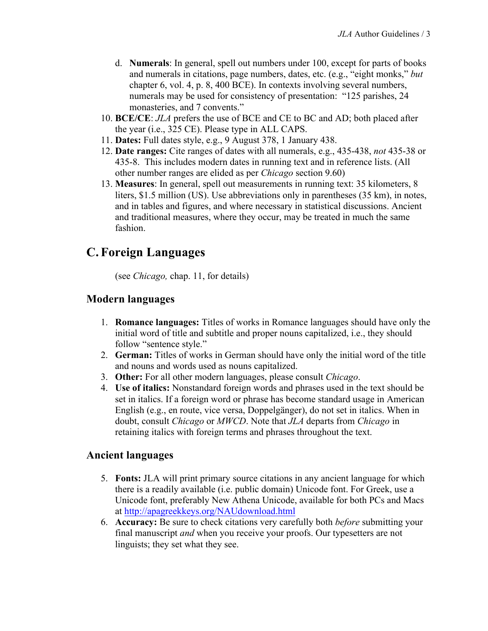- d. **Numerals**: In general, spell out numbers under 100, except for parts of books and numerals in citations, page numbers, dates, etc. (e.g., "eight monks," *but*  chapter 6, vol. 4, p. 8, 400 BCE). In contexts involving several numbers, numerals may be used for consistency of presentation: "125 parishes, 24 monasteries, and 7 convents."
- 10. **BCE/CE**: *JLA* prefers the use of BCE and CE to BC and AD; both placed after the year (i.e., 325 CE). Please type in ALL CAPS.
- 11. **Dates:** Full dates style, e.g., 9 August 378, 1 January 438.
- 12. **Date ranges:** Cite ranges of dates with all numerals, e.g., 435-438, *not* 435-38 or 435-8. This includes modern dates in running text and in reference lists. (All other number ranges are elided as per *Chicago* section 9.60)
- 13. **Measures**: In general, spell out measurements in running text: 35 kilometers, 8 liters, \$1.5 million (US). Use abbreviations only in parentheses (35 km), in notes, and in tables and figures, and where necessary in statistical discussions. Ancient and traditional measures, where they occur, may be treated in much the same fashion.

# **C. Foreign Languages**

(see *Chicago,* chap. 11, for details)

### **Modern languages**

- 1. **Romance languages:** Titles of works in Romance languages should have only the initial word of title and subtitle and proper nouns capitalized, i.e., they should follow "sentence style."
- 2. **German:** Titles of works in German should have only the initial word of the title and nouns and words used as nouns capitalized.
- 3. **Other:** For all other modern languages, please consult *Chicago*.
- 4. **Use of italics:** Nonstandard foreign words and phrases used in the text should be set in italics. If a foreign word or phrase has become standard usage in American English (e.g., en route, vice versa, Doppelgänger), do not set in italics. When in doubt, consult *Chicago* or *MWCD*. Note that *JLA* departs from *Chicago* in retaining italics with foreign terms and phrases throughout the text.

### **Ancient languages**

- 5. **Fonts:** JLA will print primary source citations in any ancient language for which there is a readily available (i.e. public domain) Unicode font. For Greek, use a Unicode font, preferably New Athena Unicode, available for both PCs and Macs at http://apagreekkeys.org/NAUdownload.html
- 6. **Accuracy:** Be sure to check citations very carefully both *before* submitting your final manuscript *and* when you receive your proofs. Our typesetters are not linguists; they set what they see.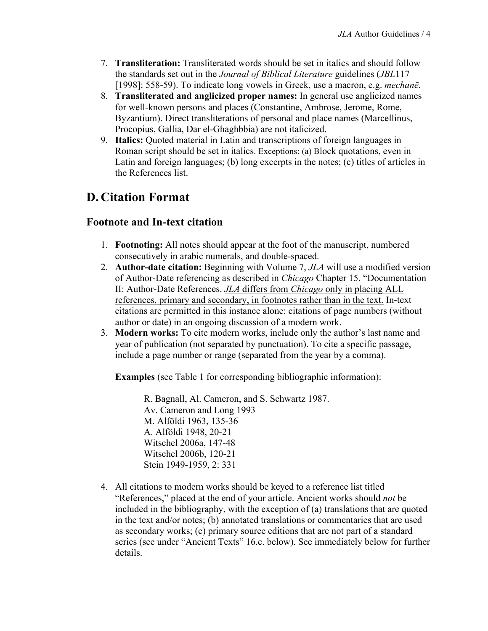- 7. **Transliteration:** Transliterated words should be set in italics and should follow the standards set out in the *Journal of Biblical Literature* guidelines (*JBL*117 [1998]: 558-59). To indicate long vowels in Greek, use a macron, e.g. *mechanē.*
- 8. **Transliterated and anglicized proper names:** In general use anglicized names for well-known persons and places (Constantine, Ambrose, Jerome, Rome, Byzantium). Direct transliterations of personal and place names (Marcellinus, Procopius, Gallia, Dar el-Ghaghbbia) are not italicized.
- 9. **Italics:** Quoted material in Latin and transcriptions of foreign languages in Roman script should be set in italics. Exceptions: (a) Block quotations, even in Latin and foreign languages; (b) long excerpts in the notes; (c) titles of articles in the References list.

# **D. Citation Format**

### **Footnote and In-text citation**

- 1. **Footnoting:** All notes should appear at the foot of the manuscript, numbered consecutively in arabic numerals, and double-spaced.
- 2. **Author-date citation:** Beginning with Volume 7, *JLA* will use a modified version of Author-Date referencing as described in *Chicago* Chapter 15. "Documentation II: Author-Date References. *JLA* differs from *Chicago* only in placing ALL references, primary and secondary, in footnotes rather than in the text. In-text citations are permitted in this instance alone: citations of page numbers (without author or date) in an ongoing discussion of a modern work.
- 3. **Modern works:** To cite modern works, include only the author's last name and year of publication (not separated by punctuation). To cite a specific passage, include a page number or range (separated from the year by a comma).

**Examples** (see Table 1 for corresponding bibliographic information):

R. Bagnall, Al. Cameron, and S. Schwartz 1987. Av. Cameron and Long 1993 M. Alföldi 1963, 135-36 A. Alföldi 1948, 20-21 Witschel 2006a, 147-48 Witschel 2006b, 120-21 Stein 1949-1959, 2: 331

4. All citations to modern works should be keyed to a reference list titled "References," placed at the end of your article. Ancient works should *not* be included in the bibliography, with the exception of (a) translations that are quoted in the text and/or notes; (b) annotated translations or commentaries that are used as secondary works; (c) primary source editions that are not part of a standard series (see under "Ancient Texts" 16.c. below). See immediately below for further details.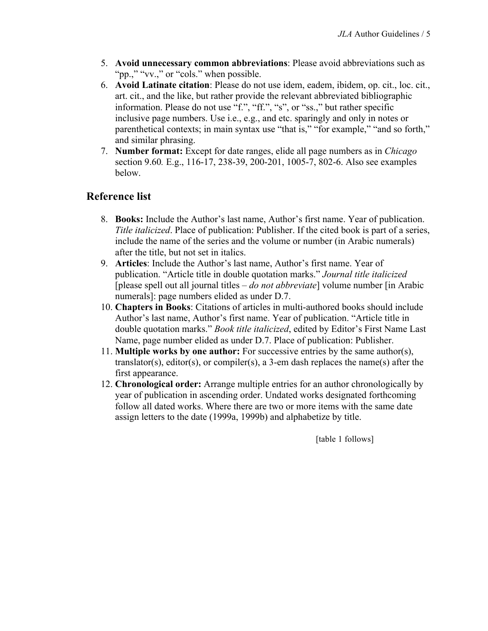- 5. **Avoid unnecessary common abbreviations**: Please avoid abbreviations such as "pp.," "vv.," or "cols." when possible.
- 6. **Avoid Latinate citation**: Please do not use idem, eadem, ibidem, op. cit., loc. cit., art. cit., and the like, but rather provide the relevant abbreviated bibliographic information. Please do not use "f.", "ff.", "s", or "ss.," but rather specific inclusive page numbers. Use i.e., e.g., and etc. sparingly and only in notes or parenthetical contexts; in main syntax use "that is," "for example," "and so forth," and similar phrasing.
- 7. **Number format:** Except for date ranges, elide all page numbers as in *Chicago* section 9.60*.* E.g., 116-17, 238-39, 200-201, 1005-7, 802-6. Also see examples below.

### **Reference list**

- 8. **Books:** Include the Author's last name, Author's first name. Year of publication. *Title italicized*. Place of publication: Publisher. If the cited book is part of a series, include the name of the series and the volume or number (in Arabic numerals) after the title, but not set in italics.
- 9. **Articles**: Include the Author's last name, Author's first name. Year of publication. "Article title in double quotation marks." *Journal title italicized* [please spell out all journal titles – *do not abbreviate*] volume number [in Arabic numerals]: page numbers elided as under D.7.
- 10. **Chapters in Books**: Citations of articles in multi-authored books should include Author's last name, Author's first name. Year of publication. "Article title in double quotation marks." *Book title italicized*, edited by Editor's First Name Last Name, page number elided as under D.7. Place of publication: Publisher.
- 11. **Multiple works by one author:** For successive entries by the same author(s), translator(s), editor(s), or compiler(s), a 3-em dash replaces the name(s) after the first appearance.
- 12. **Chronological order:** Arrange multiple entries for an author chronologically by year of publication in ascending order. Undated works designated forthcoming follow all dated works. Where there are two or more items with the same date assign letters to the date (1999a, 1999b) and alphabetize by title.

[table 1 follows]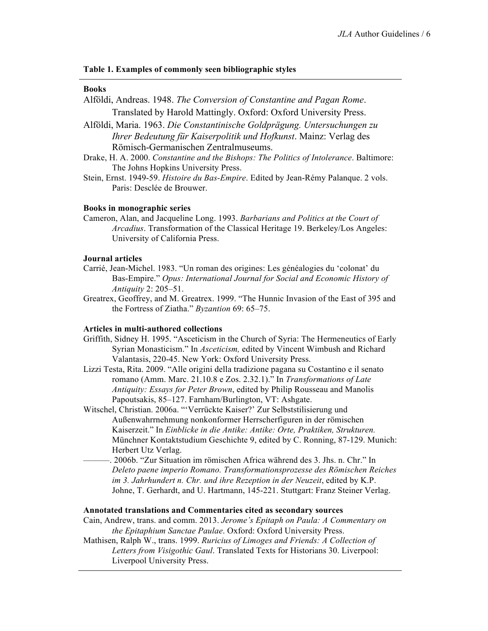#### **Table 1. Examples of commonly seen bibliographic styles**

#### **Books**

- Alföldi, Andreas. 1948. *The Conversion of Constantine and Pagan Rome*. Translated by Harold Mattingly. Oxford: Oxford University Press.
- Alföldi, Maria. 1963. *Die Constantinische Goldprägung. Untersuchungen zu Ihrer Bedeutung für Kaiserpolitik und Hofkunst*. Mainz: Verlag des Römisch-Germanischen Zentralmuseums.
- Drake, H. A. 2000. *Constantine and the Bishops: The Politics of Intolerance*. Baltimore: The Johns Hopkins University Press.
- Stein, Ernst. 1949-59. *Histoire du Bas-Empire*. Edited by Jean-Rémy Palanque. 2 vols. Paris: Desclée de Brouwer.

#### **Books in monographic series**

Cameron, Alan, and Jacqueline Long. 1993. *Barbarians and Politics at the Court of Arcadius*. Transformation of the Classical Heritage 19. Berkeley/Los Angeles: University of California Press.

### **Journal articles**

- Carrié, Jean-Michel. 1983. "Un roman des origines: Les généalogies du 'colonat' du Bas-Empire." *Opus: International Journal for Social and Economic History of Antiquity* 2: 205–51.
- Greatrex, Geoffrey, and M. Greatrex. 1999. "The Hunnic Invasion of the East of 395 and the Fortress of Ziatha." *Byzantion* 69: 65–75.

#### **Articles in multi-authored collections**

- Griffith, Sidney H. 1995. "Asceticism in the Church of Syria: The Hermeneutics of Early Syrian Monasticism." In *Asceticism,* edited by Vincent Wimbush and Richard Valantasis, 220-45. New York: Oxford University Press.
- Lizzi Testa, Rita. 2009. "Alle origini della tradizione pagana su Costantino e il senato romano (Amm. Marc. 21.10.8 e Zos. 2.32.1)." In *Transformations of Late Antiquity: Essays for Peter Brown*, edited by Philip Rousseau and Manolis Papoutsakis, 85–127. Farnham/Burlington, VT: Ashgate.
- Witschel, Christian. 2006a. "'Verrückte Kaiser?' Zur Selbststilisierung und Außenwahrrnehmung nonkonformer Herrscherfiguren in der römischen Kaiserzeit." In *Einblicke in die Antike: Antike: Orte, Praktiken, Strukturen.*  Münchner Kontaktstudium Geschichte 9, edited by C. Ronning, 87-129. Munich: Herbert Utz Verlag.
- ———. 2006b. "Zur Situation im römischen Africa während des 3. Jhs. n. Chr." In *Deleto paene imperio Romano. Transformationsprozesse des Römischen Reiches im 3. Jahrhundert n. Chr. und ihre Rezeption in der Neuzeit*, edited by K.P. Johne, T. Gerhardt, and U. Hartmann, 145-221. Stuttgart: Franz Steiner Verlag.

#### **Annotated translations and Commentaries cited as secondary sources**

Cain, Andrew, trans. and comm. 2013. *Jerome's Epitaph on Paula: A Commentary on the Epitaphium Sanctae Paulae*. Oxford: Oxford University Press.

Mathisen, Ralph W., trans. 1999. *Ruricius of Limoges and Friends: A Collection of Letters from Visigothic Gaul*. Translated Texts for Historians 30. Liverpool: Liverpool University Press.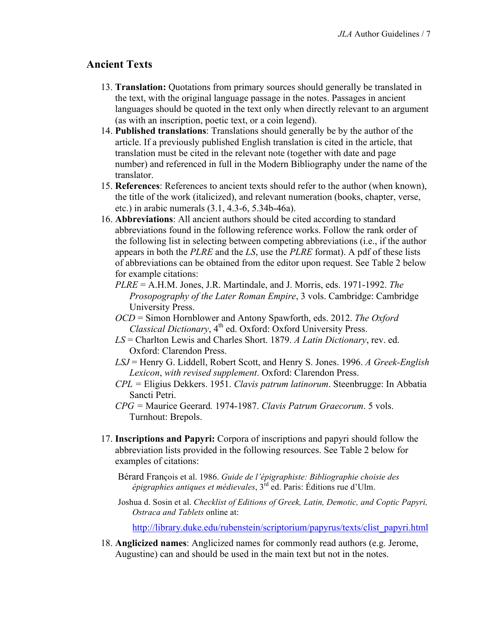### **Ancient Texts**

- 13. **Translation:** Quotations from primary sources should generally be translated in the text, with the original language passage in the notes. Passages in ancient languages should be quoted in the text only when directly relevant to an argument (as with an inscription, poetic text, or a coin legend).
- 14. **Published translations**: Translations should generally be by the author of the article. If a previously published English translation is cited in the article, that translation must be cited in the relevant note (together with date and page number) and referenced in full in the Modern Bibliography under the name of the translator.
- 15. **References**: References to ancient texts should refer to the author (when known), the title of the work (italicized), and relevant numeration (books, chapter, verse, etc.) in arabic numerals (3.1, 4.3-6, 5.34b-46a).
- 16. **Abbreviations**: All ancient authors should be cited according to standard abbreviations found in the following reference works. Follow the rank order of the following list in selecting between competing abbreviations (i.e., if the author appears in both the *PLRE* and the *LS*, use the *PLRE* format). A pdf of these lists of abbreviations can be obtained from the editor upon request. See Table 2 below for example citations:
	- *PLRE* = A.H.M. Jones, J.R. Martindale, and J. Morris, eds. 1971-1992. *The Prosopography of the Later Roman Empire*, 3 vols. Cambridge: Cambridge University Press.
	- *OCD* = Simon Hornblower and Antony Spawforth, eds. 2012. *The Oxford Classical Dictionary*, 4<sup>th</sup> ed. Oxford: Oxford University Press.
	- *LS* = Charlton Lewis and Charles Short. 1879. *A Latin Dictionary*, rev. ed. Oxford: Clarendon Press.
	- *LSJ* = Henry G. Liddell, Robert Scott, and Henry S. Jones. 1996. *A Greek-English Lexicon*, *with revised supplement*. Oxford: Clarendon Press.
	- *CPL =* Eligius Dekkers. 1951. *Clavis patrum latinorum*. Steenbrugge: In Abbatia Sancti Petri.
	- *CPG =* Maurice Geerard*.* 1974-1987. *Clavis Patrum Graecorum*. 5 vols. Turnhout: Brepols.
- 17. **Inscriptions and Papyri:** Corpora of inscriptions and papyri should follow the abbreviation lists provided in the following resources. See Table 2 below for examples of citations:

Bérard François et al. 1986. *Guide de l'épigraphiste: Bibliographie choisie des épigraphies antiques et médievales*, 3rd ed. Paris: Éditions rue d'Ulm.

Joshua d. Sosin et al. *Checklist of Editions of Greek, Latin, Demotic, and Coptic Papyri, Ostraca and Tablets* online at:

http://library.duke.edu/rubenstein/scriptorium/papyrus/texts/clist\_papyri.html

18. **Anglicized names**: Anglicized names for commonly read authors (e.g. Jerome, Augustine) can and should be used in the main text but not in the notes.